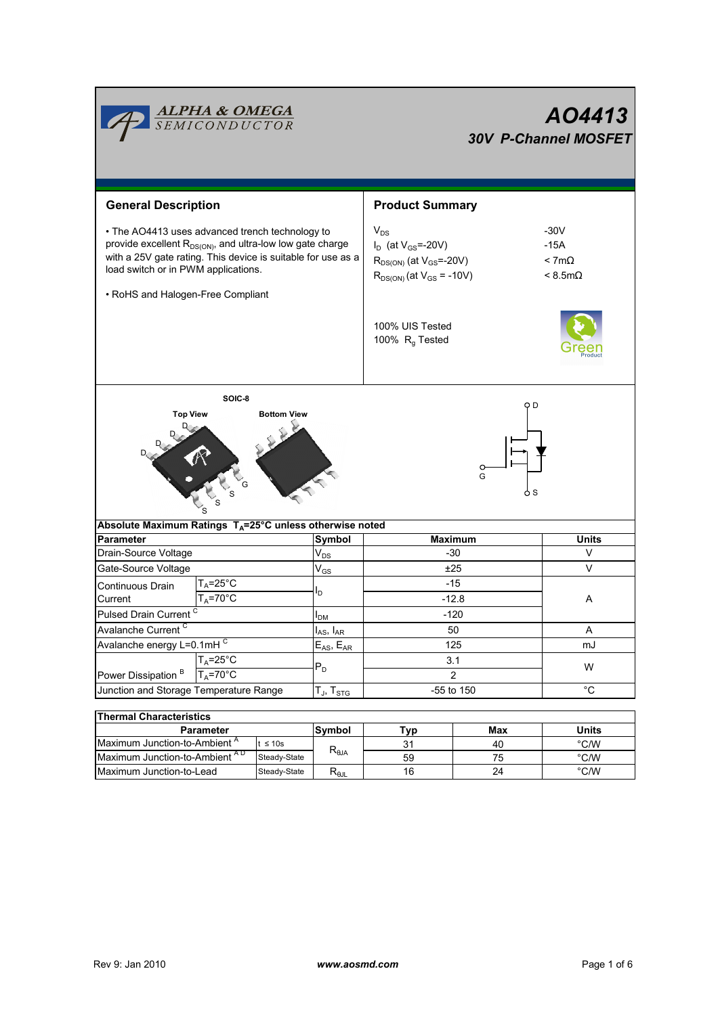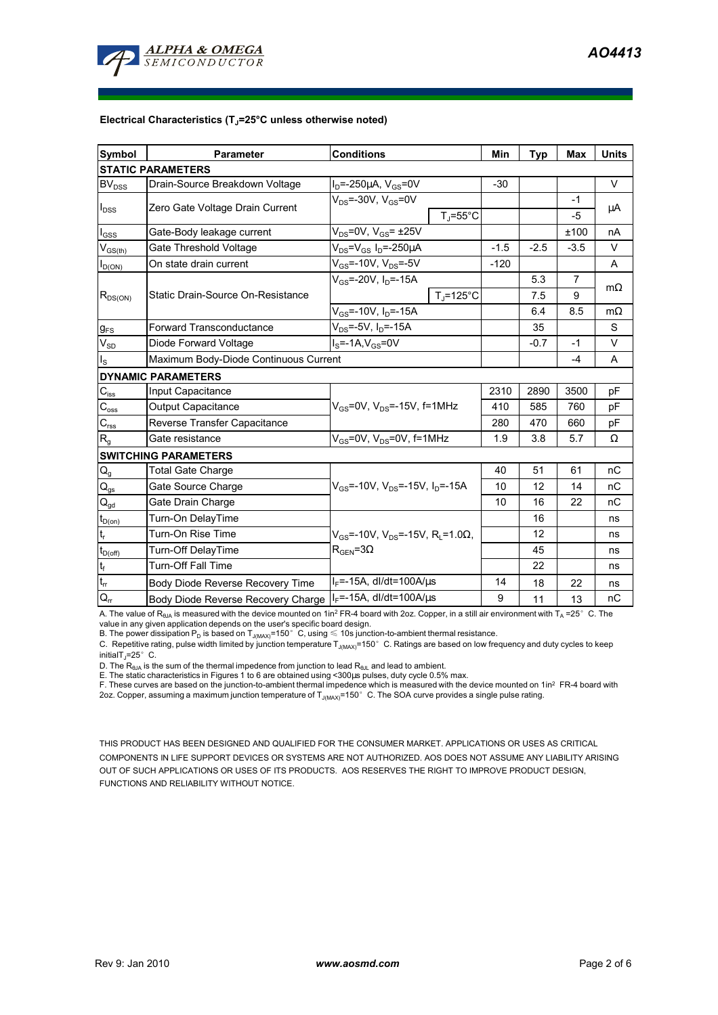

# **Electrical Characteristics (TJ=25°C unless otherwise noted)**

| <b>Symbol</b>                | Parameter                             | <b>Conditions</b>                                              | Min    | <b>Typ</b> | <b>Max</b>     | <b>Units</b> |
|------------------------------|---------------------------------------|----------------------------------------------------------------|--------|------------|----------------|--------------|
| <b>STATIC PARAMETERS</b>     |                                       |                                                                |        |            |                |              |
| BV <sub>DSS</sub>            | Drain-Source Breakdown Voltage        | $I_D = -250 \mu A$ , $V_{GS} = 0V$                             | $-30$  |            |                | $\vee$       |
| $I_{DSS}$                    | Zero Gate Voltage Drain Current       | $V_{DS}$ =-30V, $V_{GS}$ =0V                                   |        |            | -1             | μA           |
|                              |                                       | $T_{\rm J}$ =55°C                                              |        |            | -5             |              |
| $\mathsf{I}_{\mathsf{GSS}}$  | Gate-Body leakage current             | $V_{DS} = 0V$ , $V_{GS} = \pm 25V$                             |        |            | ±100           | nA           |
| $V_{GS(th)}$                 | Gate Threshold Voltage                | $V_{DS} = V_{GS} I_D = -250 \mu A$                             | $-1.5$ | $-2.5$     | $-3.5$         | $\vee$       |
| $I_{D(ON)}$                  | On state drain current                | $V_{GS}$ =-10V, $V_{DS}$ =-5V                                  | $-120$ |            |                | A            |
| $R_{DS(ON)}$                 | Static Drain-Source On-Resistance     | $V_{GS}$ =-20V, I <sub>n</sub> =-15A                           |        | 5.3        | $\overline{7}$ |              |
|                              |                                       | $T_{\rm J}$ =125°C                                             |        | 7.5        | 9              | $m\Omega$    |
|                              |                                       | $V_{GS}$ =-10V, $I_D$ =-15A                                    |        | 6.4        | 8.5            | $m\Omega$    |
| $g_{FS}$                     | <b>Forward Transconductance</b>       | $V_{DS} = -5V$ , $I_D = -15A$                                  |        | 35         |                | S            |
| $V_{SD}$                     | Diode Forward Voltage                 | $IS=-1A,VGS=0V$                                                |        | $-0.7$     | $-1$           | $\vee$       |
| $I_{\rm S}$                  | Maximum Body-Diode Continuous Current |                                                                |        |            | $-4$           | A            |
| <b>DYNAMIC PARAMETERS</b>    |                                       |                                                                |        |            |                |              |
| $C_{\text{iss}}$             | Input Capacitance                     |                                                                | 2310   | 2890       | 3500           | рF           |
| $C_{\rm oss}$                | Output Capacitance                    | $V_{GS}$ =0V, $V_{DS}$ =-15V, f=1MHz                           | 410    | 585        | 760            | рF           |
| $C_{\text{rss}}$             | Reverse Transfer Capacitance          |                                                                | 280    | 470        | 660            | pF           |
| $R_{g}$                      | Gate resistance                       | $V_{GS}$ =0V, $V_{DS}$ =0V, f=1MHz                             | 1.9    | 3.8        | 5.7            | Ω            |
| <b>SWITCHING PARAMETERS</b>  |                                       |                                                                |        |            |                |              |
| $Q_g$                        | <b>Total Gate Charge</b>              |                                                                | 40     | 51         | 61             | nC           |
| $\mathsf{Q}_{\mathsf{gs}}$   | Gate Source Charge                    | $V_{GS}$ =-10V, $V_{DS}$ =-15V, $I_{D}$ =-15A                  | 10     | 12         | 14             | nC           |
| $\mathbf{Q}_{\text{gd}}$     | Gate Drain Charge                     |                                                                | 10     | 16         | 22             | nC           |
| $t_{D(on)}$                  | Turn-On DelayTime                     |                                                                |        | 16         |                | ns           |
| $\mathfrak{t}_{\mathsf{r}}$  | Turn-On Rise Time                     | $V_{GS}$ =-10V, $V_{DS}$ =-15V, R <sub>i</sub> =1.0 $\Omega$ , |        | 12         |                | ns           |
| $t_{D(off)}$                 | Turn-Off DelayTime                    | $\rm R_{GEN}$ =3 $\Omega$                                      |        | 45         |                | ns           |
| $t_f$                        | Turn-Off Fall Time                    |                                                                |        | 22         |                | ns           |
| $\mathfrak{t}_{\mathsf{rr}}$ | Body Diode Reverse Recovery Time      | $I_F$ =-15A, dl/dt=100A/ $\mu$ s                               | 14     | 18         | 22             | ns           |
| $\mathsf{Q}_{\mathsf{rr}}$   | Body Diode Reverse Recovery Charge    | $I_F$ =-15A, dl/dt=100A/ $\mu$ s                               | 9      | 11         | 13             | пC           |

A. The value of  $R_{\theta_0A}$  is measured with the device mounted on 1in<sup>2</sup> FR-4 board with 2oz. Copper, in a still air environment with  $T_A = 25^\circ$  C. The

value in any given application depends on the user's specific board design.<br>B. The power dissipation P<sub>D</sub> is based on T<sub>J(MAX)</sub>=150°C, using ≤ 10s junction-to-ambient thermal resistance.

C. Repetitive rating, pulse width limited by junction temperature  $T_{\rm J(MAX)}$ =150°C. Ratings are based on low frequency and duty cycles to keep  $initialT_1=25^\circ$  C.

D. The  $R_{\theta JA}$  is the sum of the thermal impedence from junction to lead  $R_{\theta JL}$  and lead to ambient.

E. The static characteristics in Figures 1 to 6 are obtained using <300μs pulses, duty cycle 0.5% max.<br>F. These curves are based on the junction-to-ambient thermal impedence which is measured with the device mounted on 1i 2oz. Copper, assuming a maximum junction temperature of  $T_{J(MAX)}$ =150°C. The SOA curve provides a single pulse rating.

THIS PRODUCT HAS BEEN DESIGNED AND QUALIFIED FOR THE CONSUMER MARKET. APPLICATIONS OR USES AS CRITICAL COMPONENTS IN LIFE SUPPORT DEVICES OR SYSTEMS ARE NOT AUTHORIZED. AOS DOES NOT ASSUME ANY LIABILITY ARISING OUT OF SUCH APPLICATIONS OR USES OF ITS PRODUCTS. AOS RESERVES THE RIGHT TO IMPROVE PRODUCT DESIGN, FUNCTIONS AND RELIABILITY WITHOUT NOTICE.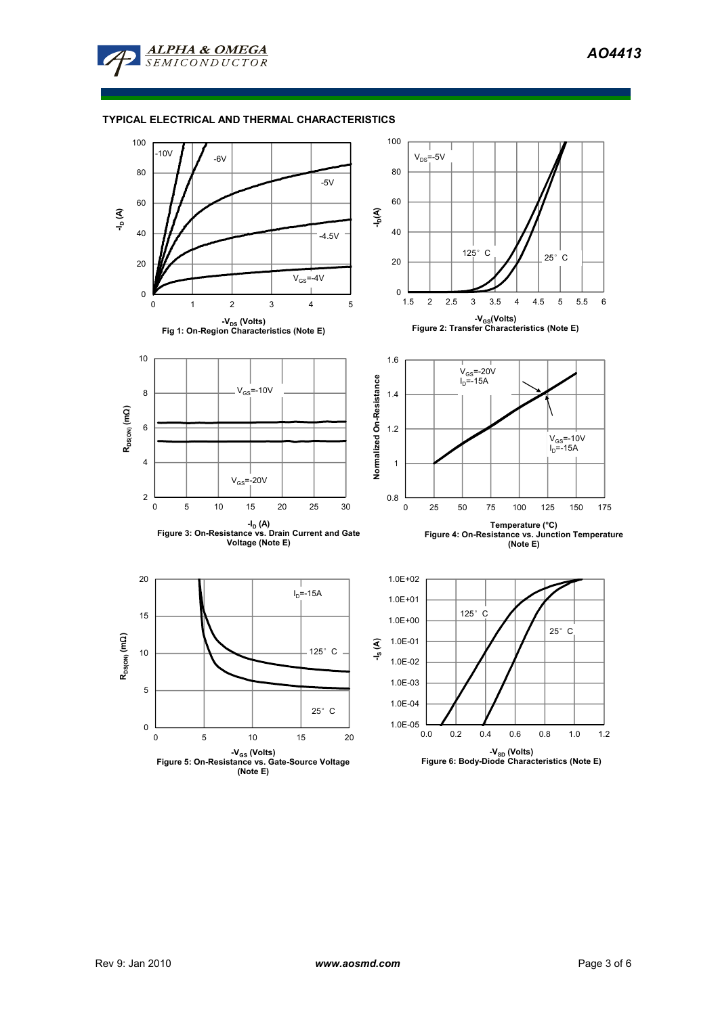*AO4413* 



## **TYPICAL ELECTRICAL AND THERMAL CHARACTERISTICS**



**<sup>(</sup>Note E)**

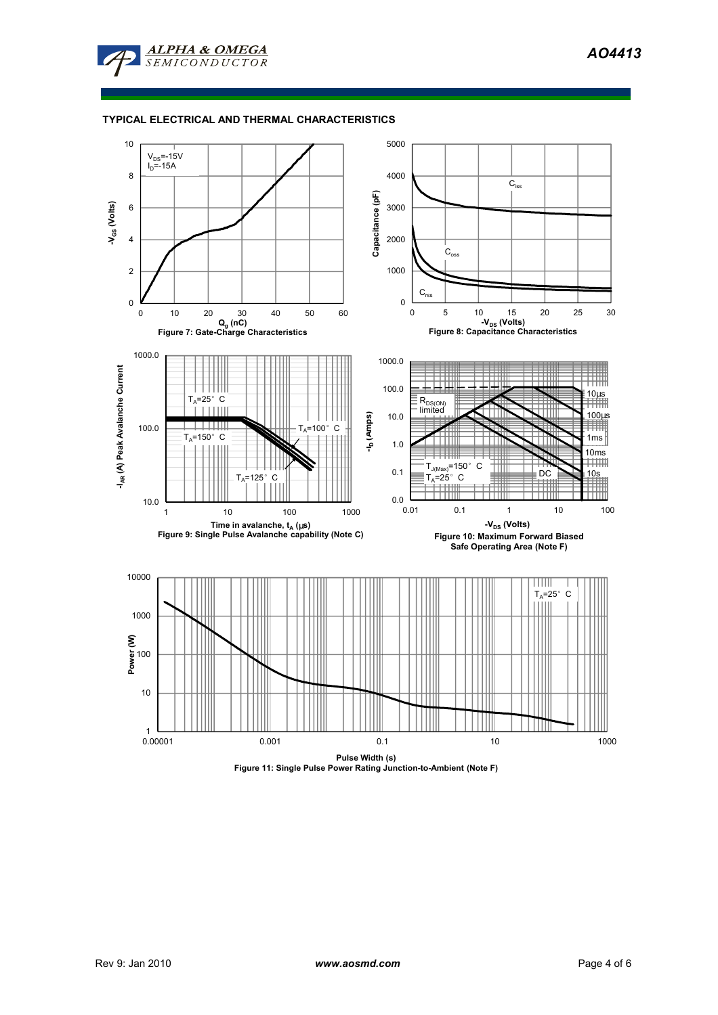

## **TYPICAL ELECTRICAL AND THERMAL CHARACTERISTICS**

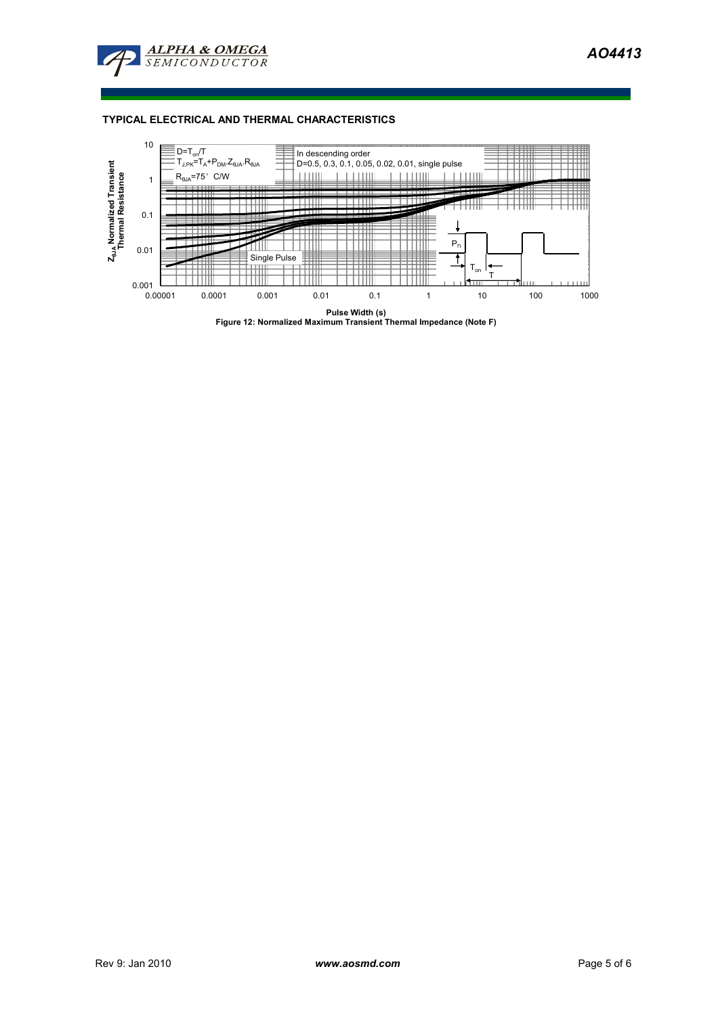



**Pulse Width (s) Figure 12: Normalized Maximum Transient Thermal Impedance (Note F)**